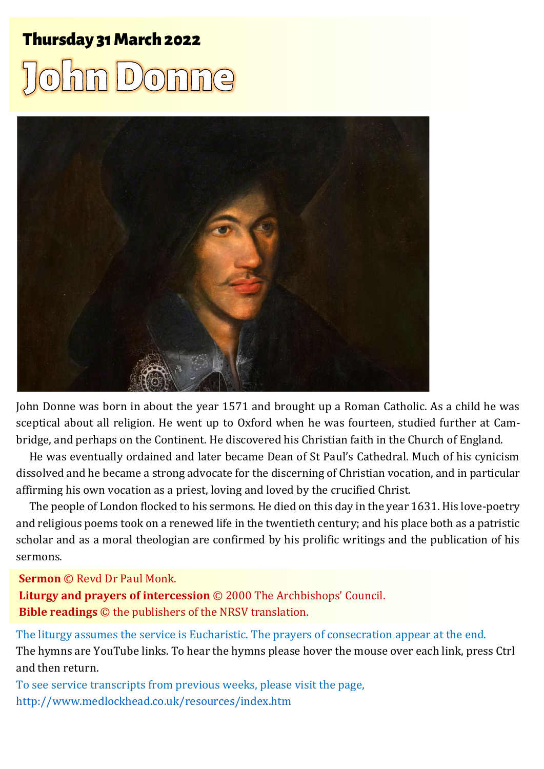### Thursday 31 March 2022 1 John Donne Donne Donne Donne Donne Donne Donne Donne Donne Donne Donne Donne Donne Do

# $\sqrt{0}$



John Donne was born in about the year 1571 and brought up a Roman Catholic. As a child he was sceptical about all religion. He went up to Oxford when he was fourteen, studied further at Cambridge, and perhaps on the Continent. He discovered his Christian faith in the Church of England.

He was eventually ordained and later became Dean of St Paul's Cathedral. Much of his cynicism dissolved and he became a strong advocate for the discerning of Christian vocation, and in particular affirming his own vocation as a priest, loving and loved by the crucified Christ.

The people of London flocked to his sermons. He died on this day in the year 1631. His love-poetry and religious poems took on a renewed life in the twentieth century; and his place both as a patristic scholar and as a moral theologian are confirmed by his prolific writings and the publication of his sermons.

**Sermon** © Revd Dr Paul Monk.

**Liturgy and prayers of intercession** © 2000 The Archbishops' Council. **Bible readings** © the publishers of the NRSV translation.

The liturgy assumes the service is Eucharistic. The prayers of consecration appear at the end. The hymns are YouTube links. To hear the hymns please hover the mouse over each link, press Ctrl and then return.

To see service transcripts from previous weeks, please visit the page, <http://www.medlockhead.co.uk/resources/index.htm>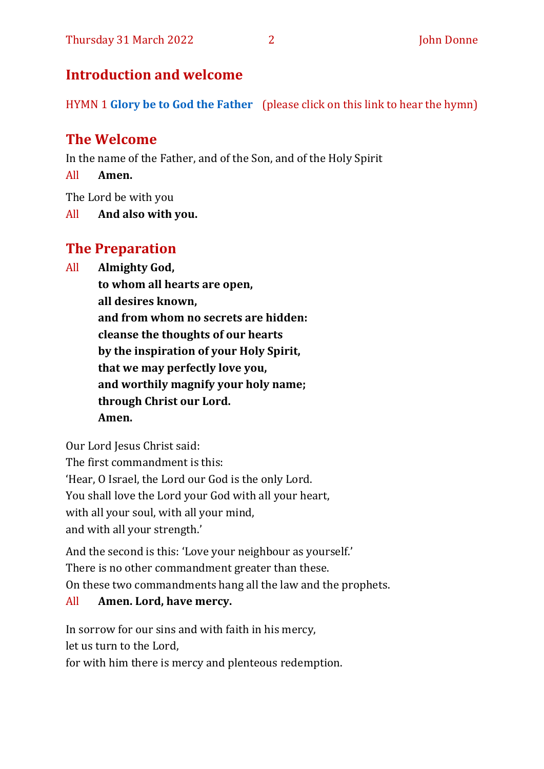#### **Introduction and welcome**

HYMN 1 **[Glory be to God the Father](https://www.youtube.com/watch?v=z1xJ-0WwL7w)** (please click on this link to hear the hymn)

#### **The Welcome**

In the name of the Father, and of the Son, and of the Holy Spirit

All **Amen.**

The Lord be with you

All **And also with you.**

#### **The Preparation**

All **Almighty God,**

**to whom all hearts are open, all desires known, and from whom no secrets are hidden: cleanse the thoughts of our hearts by the inspiration of your Holy Spirit, that we may perfectly love you, and worthily magnify your holy name;**

**through Christ our Lord. Amen.**

Our Lord Jesus Christ said:

The first commandment is this:

'Hear, O Israel, the Lord our God is the only Lord.

You shall love the Lord your God with all your heart,

with all your soul, with all your mind,

and with all your strength.'

And the second is this: 'Love your neighbour as yourself.' There is no other commandment greater than these. On these two commandments hang all the law and the prophets.

#### All **Amen. Lord, have mercy.**

In sorrow for our sins and with faith in his mercy, let us turn to the Lord,

for with him there is mercy and plenteous redemption.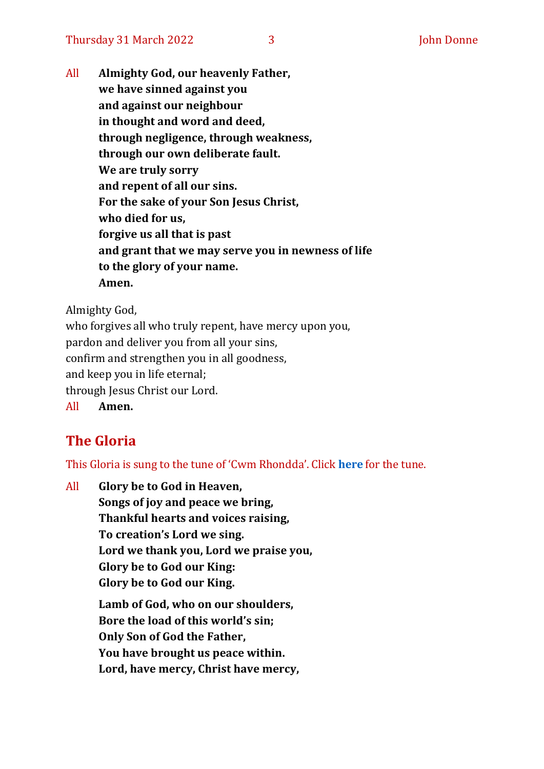All **Almighty God, our heavenly Father, we have sinned against you and against our neighbour in thought and word and deed, through negligence, through weakness, through our own deliberate fault. We are truly sorry and repent of all our sins. For the sake of your Son Jesus Christ, who died for us, forgive us all that is past and grant that we may serve you in newness of life to the glory of your name. Amen.**

Almighty God,

who forgives all who truly repent, have mercy upon you, pardon and deliver you from all your sins, confirm and strengthen you in all goodness, and keep you in life eternal; through Jesus Christ our Lord. All **Amen.**

#### **The Gloria**

This Gloria is sung to the tune of 'Cwm Rhondda'. Click **[here](about:blank)** for the tune.

All **Glory be to God in Heaven, Songs of joy and peace we bring, Thankful hearts and voices raising, To creation's Lord we sing. Lord we thank you, Lord we praise you, Glory be to God our King: Glory be to God our King. Lamb of God, who on our shoulders, Bore the load of this world's sin; Only Son of God the Father, You have brought us peace within. Lord, have mercy, Christ have mercy,**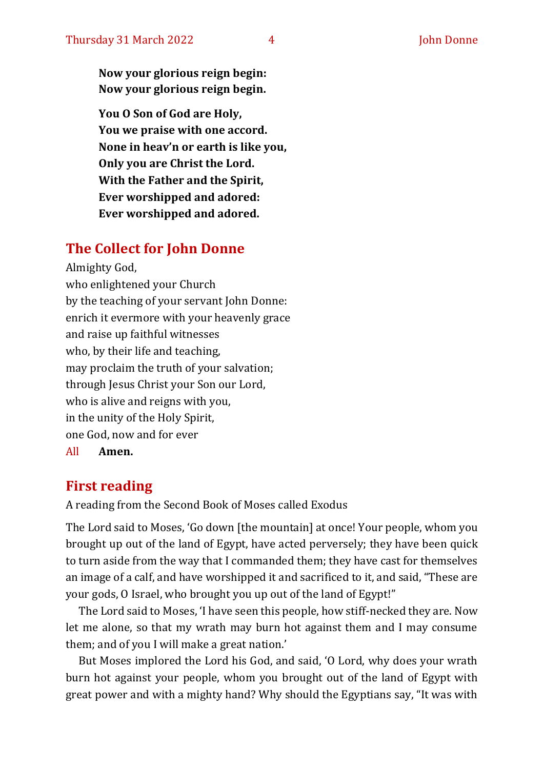**Now your glorious reign begin: Now your glorious reign begin.**

**You O Son of God are Holy, You we praise with one accord. None in heav'n or earth is like you, Only you are Christ the Lord. With the Father and the Spirit, Ever worshipped and adored: Ever worshipped and adored.**

#### **The Collect for John Donne**

Almighty God, who enlightened your Church by the teaching of your servant John Donne: enrich it evermore with your heavenly grace and raise up faithful witnesses who, by their life and teaching, may proclaim the truth of your salvation; through Jesus Christ your Son our Lord, who is alive and reigns with you, in the unity of the Holy Spirit, one God, now and for ever All **Amen.**

#### **First reading**

A reading from the Second Book of Moses called Exodus

The Lord said to Moses, 'Go down [the mountain] at once! Your people, whom you brought up out of the land of Egypt, have acted perversely; they have been quick to turn aside from the way that I commanded them; they have cast for themselves an image of a calf, and have worshipped it and sacrificed to it, and said, "These are your gods, O Israel, who brought you up out of the land of Egypt!"

The Lord said to Moses, 'I have seen this people, how stiff-necked they are. Now let me alone, so that my wrath may burn hot against them and I may consume them; and of you I will make a great nation.'

But Moses implored the Lord his God, and said, 'O Lord, why does your wrath burn hot against your people, whom you brought out of the land of Egypt with great power and with a mighty hand? Why should the Egyptians say, "It was with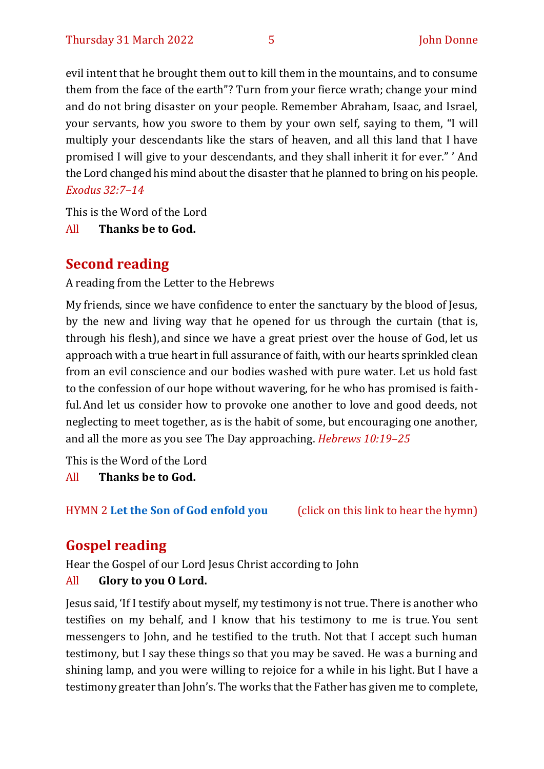evil intent that he brought them out to kill them in the mountains, and to consume them from the face of the earth"? Turn from your fierce wrath; change your mind and do not bring disaster on your people. Remember Abraham, Isaac, and Israel, your servants, how you swore to them by your own self, saying to them, "I will multiply your descendants like the stars of heaven, and all this land that I have promised I will give to your descendants, and they shall inherit it for ever." ' And the Lord changed his mind about the disaster that he planned to bring on his people. *Exodus 32:7–14*

This is the Word of the Lord

All **Thanks be to God.**

#### **Second reading**

A reading from the Letter to the Hebrews

My friends, since we have confidence to enter the sanctuary by the blood of Jesus, by the new and living way that he opened for us through the curtain (that is, through his flesh), and since we have a great priest over the house of God, let us approach with a true heart in full assurance of faith, with our hearts sprinkled clean from an evil conscience and our bodies washed with pure water. Let us hold fast to the confession of our hope without wavering, for he who has promised is faithful.And let us consider how to provoke one another to love and good deeds, not neglecting to meet together, as is the habit of some, but encouraging one another, and all the more as you see The Day approaching. *Hebrews 10:19–25*

This is the Word of the Lord

All **Thanks be to God.**

HYMN 2 **[Let the Son of God enfold you](https://www.youtube.com/watch?v=f5pUXm57wMA)** (click on this link to hear the hymn)

## **Gospel reading**

Hear the Gospel of our Lord Jesus Christ according to John

#### All **Glory to you O Lord.**

Jesus said, 'If I testify about myself, my testimony is not true. There is another who testifies on my behalf, and I know that his testimony to me is true. You sent messengers to John, and he testified to the truth. Not that I accept such human testimony, but I say these things so that you may be saved. He was a burning and shining lamp, and you were willing to rejoice for a while in his light. But I have a testimony greater than John's. The works that the Father has given me to complete,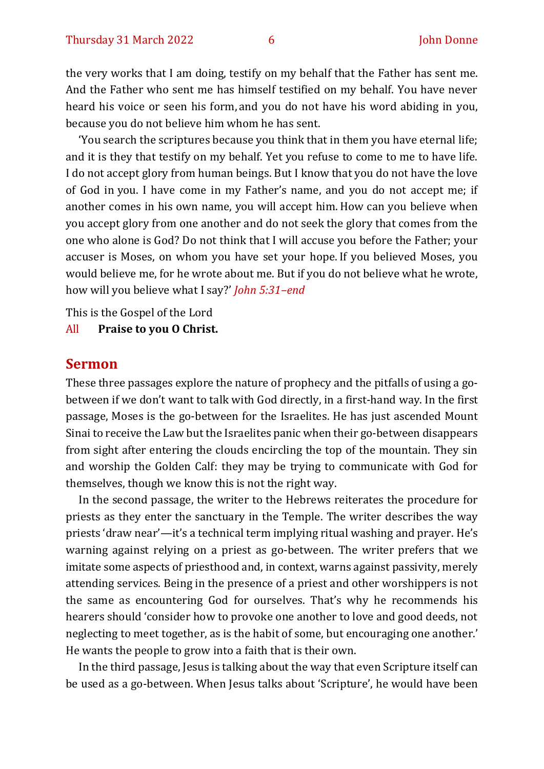the very works that I am doing, testify on my behalf that the Father has sent me. And the Father who sent me has himself testified on my behalf. You have never heard his voice or seen his form, and you do not have his word abiding in you, because you do not believe him whom he has sent.

'You search the scriptures because you think that in them you have eternal life; and it is they that testify on my behalf. Yet you refuse to come to me to have life. I do not accept glory from human beings. But I know that you do not have the love of God in you. I have come in my Father's name, and you do not accept me; if another comes in his own name, you will accept him. How can you believe when you accept glory from one another and do not seek the glory that comes from the one who alone is God? Do not think that I will accuse you before the Father; your accuser is Moses, on whom you have set your hope. If you believed Moses, you would believe me, for he wrote about me. But if you do not believe what he wrote, how will you believe what I say?' *John 5:31–end*

This is the Gospel of the Lord

All **Praise to you O Christ.** 

#### **Sermon**

These three passages explore the nature of prophecy and the pitfalls of using a gobetween if we don't want to talk with God directly, in a first-hand way. In the first passage, Moses is the go-between for the Israelites. He has just ascended Mount Sinai to receive the Law but the Israelites panic when their go-between disappears from sight after entering the clouds encircling the top of the mountain. They sin and worship the Golden Calf: they may be trying to communicate with God for themselves, though we know this is not the right way.

In the second passage, the writer to the Hebrews reiterates the procedure for priests as they enter the sanctuary in the Temple. The writer describes the way priests 'draw near'—it's a technical term implying ritual washing and prayer. He's warning against relying on a priest as go-between. The writer prefers that we imitate some aspects of priesthood and, in context, warns against passivity, merely attending services. Being in the presence of a priest and other worshippers is not the same as encountering God for ourselves. That's why he recommends his hearers should 'consider how to provoke one another to love and good deeds, not neglecting to meet together, as is the habit of some, but encouraging one another.' He wants the people to grow into a faith that is their own.

In the third passage, Jesus is talking about the way that even Scripture itself can be used as a go-between. When Jesus talks about 'Scripture', he would have been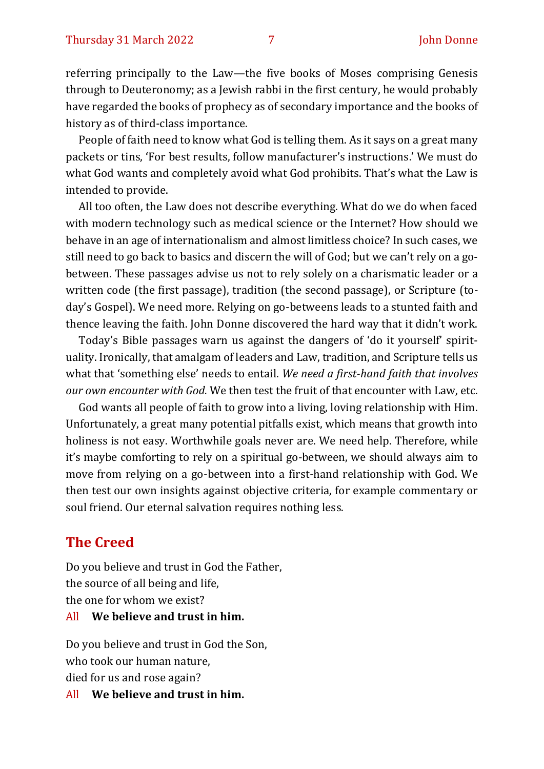referring principally to the Law—the five books of Moses comprising Genesis through to Deuteronomy; as a Jewish rabbi in the first century, he would probably have regarded the books of prophecy as of secondary importance and the books of history as of third-class importance.

People of faith need to know what God is telling them. As it says on a great many packets or tins, 'For best results, follow manufacturer's instructions.' We must do what God wants and completely avoid what God prohibits. That's what the Law is intended to provide.

All too often, the Law does not describe everything. What do we do when faced with modern technology such as medical science or the Internet? How should we behave in an age of internationalism and almost limitless choice? In such cases, we still need to go back to basics and discern the will of God; but we can't rely on a gobetween. These passages advise us not to rely solely on a charismatic leader or a written code (the first passage), tradition (the second passage), or Scripture (today's Gospel). We need more. Relying on go-betweens leads to a stunted faith and thence leaving the faith. John Donne discovered the hard way that it didn't work.

Today's Bible passages warn us against the dangers of 'do it yourself' spirituality. Ironically, that amalgam of leaders and Law, tradition, and Scripture tells us what that 'something else' needs to entail. *We need a first-hand faith that involves our own encounter with God.* We then test the fruit of that encounter with Law, etc.

God wants all people of faith to grow into a living, loving relationship with Him. Unfortunately, a great many potential pitfalls exist, which means that growth into holiness is not easy. Worthwhile goals never are. We need help. Therefore, while it's maybe comforting to rely on a spiritual go-between, we should always aim to move from relying on a go-between into a first-hand relationship with God. We then test our own insights against objective criteria, for example commentary or soul friend. Our eternal salvation requires nothing less.

#### **The Creed**

Do you believe and trust in God the Father, the source of all being and life, the one for whom we exist?

#### All **We believe and trust in him.**

Do you believe and trust in God the Son, who took our human nature, died for us and rose again?

All **We believe and trust in him.**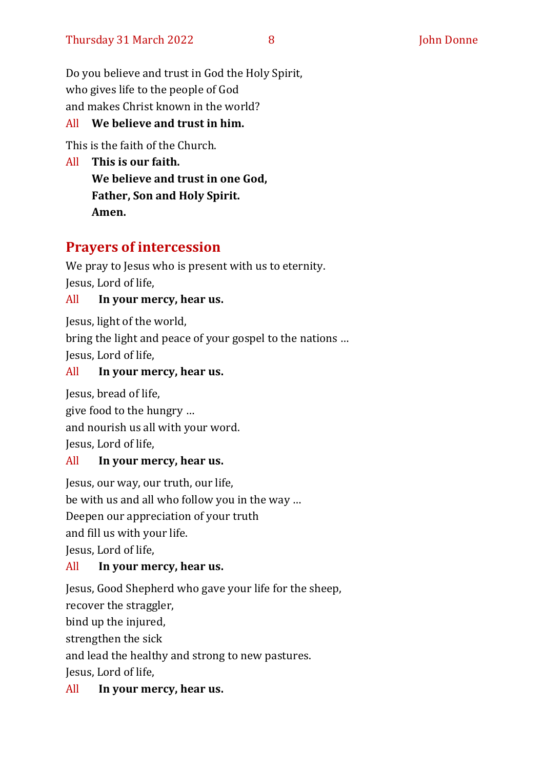Do you believe and trust in God the Holy Spirit, who gives life to the people of God and makes Christ known in the world?

#### All **We believe and trust in him.**

This is the faith of the Church.

All **This is our faith. We believe and trust in one God, Father, Son and Holy Spirit. Amen.**

#### **Prayers of intercession**

We pray to Jesus who is present with us to eternity. Jesus, Lord of life,

#### All **In your mercy, hear us.**

Jesus, light of the world,

bring the light and peace of your gospel to the nations … Jesus, Lord of life,

#### All **In your mercy, hear us.**

Jesus, bread of life, give food to the hungry … and nourish us all with your word. Jesus, Lord of life,

#### All **In your mercy, hear us.**

Jesus, our way, our truth, our life,

be with us and all who follow you in the way …

Deepen our appreciation of your truth

and fill us with your life.

Jesus, Lord of life,

#### All **In your mercy, hear us.**

Jesus, Good Shepherd who gave your life for the sheep,

recover the straggler,

bind up the injured,

strengthen the sick

and lead the healthy and strong to new pastures.

Jesus, Lord of life,

#### All **In your mercy, hear us.**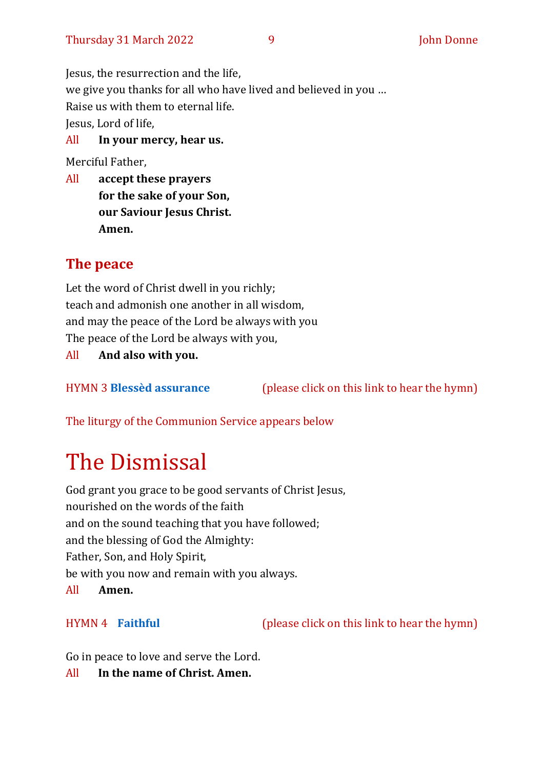Jesus, the resurrection and the life, we give you thanks for all who have lived and believed in you … Raise us with them to eternal life. Jesus, Lord of life,

All **In your mercy, hear us.**

Merciful Father,

All **accept these prayers for the sake of your Son, our Saviour Jesus Christ. Amen.**

#### **The peace**

Let the word of Christ dwell in you richly; teach and admonish one another in all wisdom, and may the peace of the Lord be always with you The peace of the Lord be always with you,

All **And also with you.**

HYMN 3 **[Blessèd assurance](https://www.youtube.com/watch?v=flvXXJqB7Q0)** (please click on this link to hear the hymn)

The liturgy of the Communion Service appears below

# The Dismissal

God grant you grace to be good servants of Christ Jesus, nourished on the words of the faith and on the sound teaching that you have followed; and the blessing of God the Almighty: Father, Son, and Holy Spirit, be with you now and remain with you always.

All **Amen.**

HYMN 4 **[Faithful](https://www.youtube.com/watch?v=f5pUXm57wMA)** (please click on this link to hear the hymn)

Go in peace to love and serve the Lord.

All **In the name of Christ. Amen.**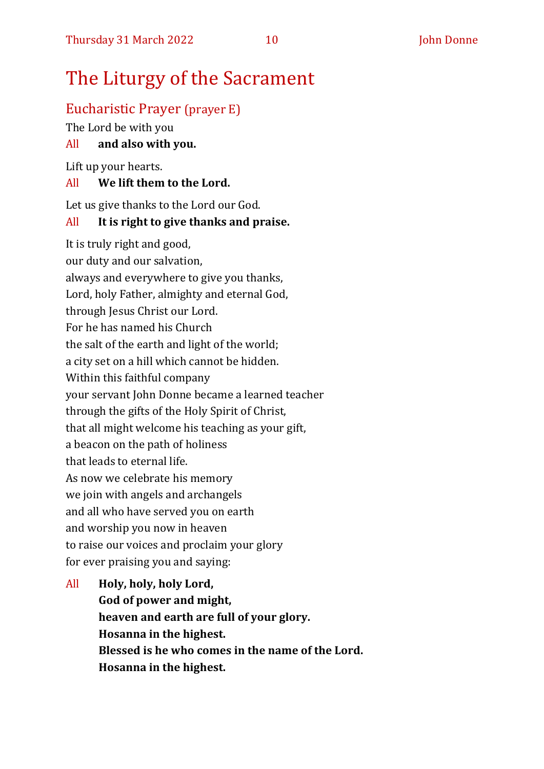# The Liturgy of the Sacrament

#### Eucharistic Prayer (prayer E)

The Lord be with you

#### All **and also with you.**

Lift up your hearts.

#### All **We lift them to the Lord.**

Let us give thanks to the Lord our God.

#### All **It is right to give thanks and praise.**

It is truly right and good, our duty and our salvation, always and everywhere to give you thanks, Lord, holy Father, almighty and eternal God, through Jesus Christ our Lord. For he has named his Church the salt of the earth and light of the world; a city set on a hill which cannot be hidden. Within this faithful company your servant John Donne became a learned teacher through the gifts of the Holy Spirit of Christ, that all might welcome his teaching as your gift, a beacon on the path of holiness that leads to eternal life. As now we celebrate his memory we join with angels and archangels and all who have served you on earth and worship you now in heaven to raise our voices and proclaim your glory for ever praising you and saying:

All **Holy, holy, holy Lord, God of power and might, heaven and earth are full of your glory. Hosanna in the highest. Blessed is he who comes in the name of the Lord. Hosanna in the highest.**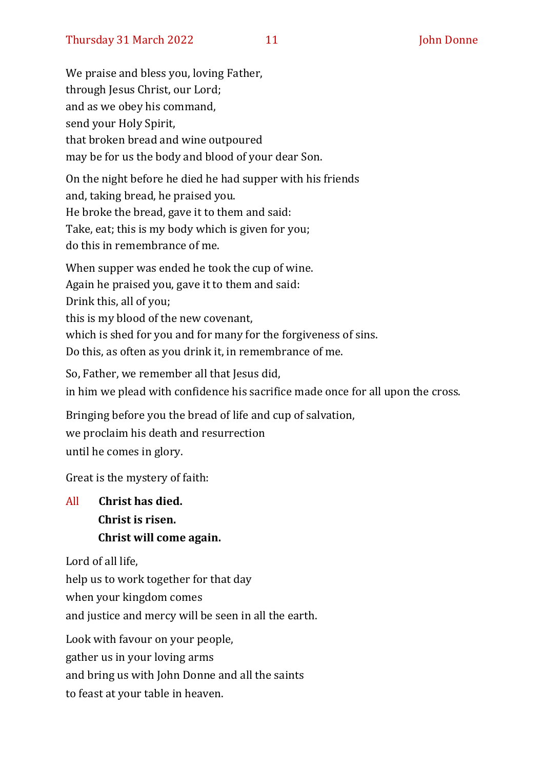We praise and bless you, loving Father, through Jesus Christ, our Lord; and as we obey his command, send your Holy Spirit, that broken bread and wine outpoured may be for us the body and blood of your dear Son. On the night before he died he had supper with his friends

and, taking bread, he praised you. He broke the bread, gave it to them and said: Take, eat; this is my body which is given for you; do this in remembrance of me.

When supper was ended he took the cup of wine. Again he praised you, gave it to them and said: Drink this, all of you; this is my blood of the new covenant, which is shed for you and for many for the forgiveness of sins. Do this, as often as you drink it, in remembrance of me.

So, Father, we remember all that Jesus did,

in him we plead with confidence his sacrifice made once for all upon the cross.

Bringing before you the bread of life and cup of salvation,

we proclaim his death and resurrection

until he comes in glory.

Great is the mystery of faith:

All **Christ has died. Christ is risen. Christ will come again.**

Lord of all life,

help us to work together for that day

when your kingdom comes

and justice and mercy will be seen in all the earth.

Look with favour on your people,

gather us in your loving arms

and bring us with John Donne and all the saints

to feast at your table in heaven.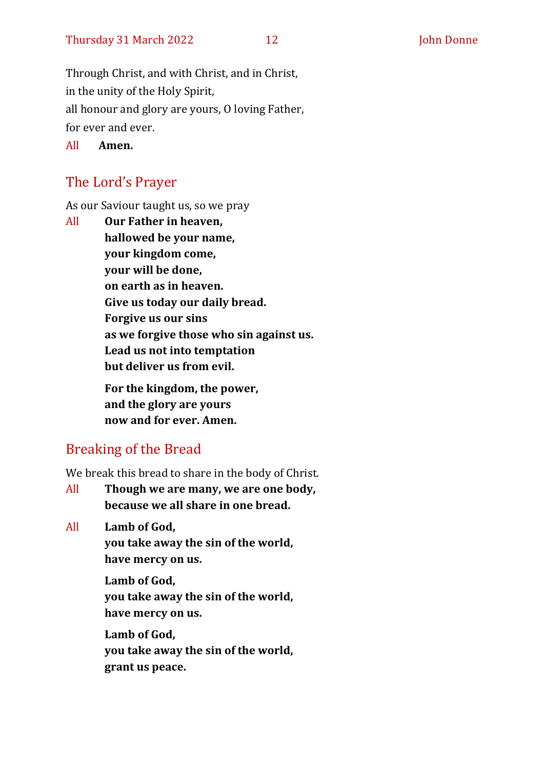Through Christ, and with Christ, and in Christ, in the unity of the Holy Spirit, all honour and glory are yours, O loving Father, for ever and ever.

All **Amen.**

#### The Lord's Prayer

As our Saviour taught us, so we pray

All **Our Father in heaven, hallowed be your name, your kingdom come, your will be done, on earth as in heaven. Give us today our daily bread. Forgive us our sins as we forgive those who sin against us. Lead us not into temptation but deliver us from evil. For the kingdom, the power,** 

**and the glory are yours now and for ever. Amen.**

#### Breaking of the Bread

We break this bread to share in the body of Christ.

All **Though we are many, we are one body, because we all share in one bread.**

All **Lamb of God,**

**you take away the sin of the world, have mercy on us.**

**Lamb of God, you take away the sin of the world, have mercy on us.**

**Lamb of God, you take away the sin of the world, grant us peace.**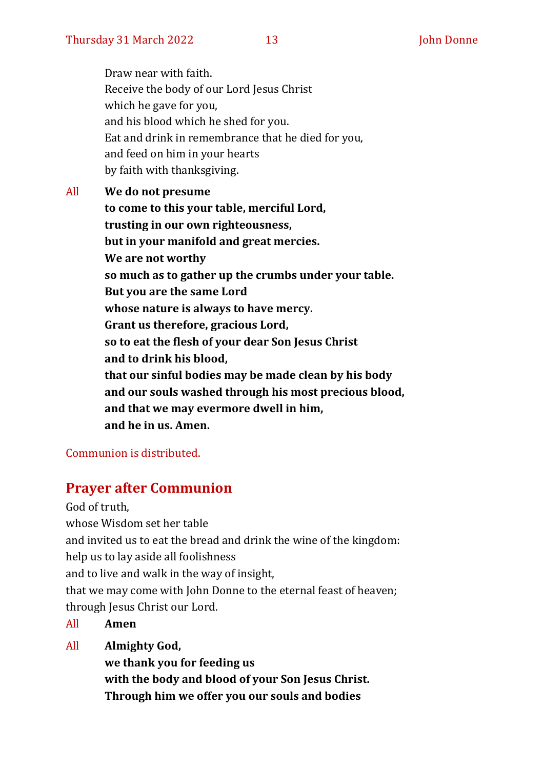Draw near with faith. Receive the body of our Lord Jesus Christ which he gave for you, and his blood which he shed for you. Eat and drink in remembrance that he died for you, and feed on him in your hearts by faith with thanksgiving.

All **We do not presume to come to this your table, merciful Lord, trusting in our own righteousness, but in your manifold and great mercies. We are not worthy so much as to gather up the crumbs under your table. But you are the same Lord whose nature is always to have mercy. Grant us therefore, gracious Lord, so to eat the flesh of your dear Son Jesus Christ and to drink his blood, that our sinful bodies may be made clean by his body and our souls washed through his most precious blood, and that we may evermore dwell in him, and he in us. Amen.**

#### Communion is distributed.

#### **Prayer after Communion**

God of truth, whose Wisdom set her table and invited us to eat the bread and drink the wine of the kingdom: help us to lay aside all foolishness and to live and walk in the way of insight, that we may come with John Donne to the eternal feast of heaven; through Jesus Christ our Lord.

All **Amen**

All **Almighty God,**

**we thank you for feeding us with the body and blood of your Son Jesus Christ. Through him we offer you our souls and bodies**